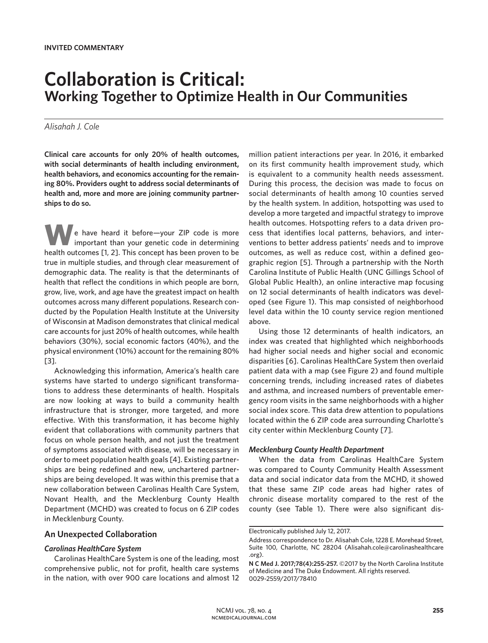# **Collaboration is Critical: Working Together to Optimize Health in Our Communities**

# *Alisahah J. Cole*

**Clinical care accounts for only 20% of health outcomes, with social determinants of health including environment, health behaviors, and economics accounting for the remaining 80%. Providers ought to address social determinants of health and, more and more are joining community partnerships to do so.**

**W**e have heard it before—your ZIP code is more important than your genetic code in determining health outcomes [1, 2]. This concept has been proven to be true in multiple studies, and through clear measurement of demographic data. The reality is that the determinants of health that reflect the conditions in which people are born, grow, live, work, and age have the greatest impact on health outcomes across many different populations. Research conducted by the Population Health Institute at the University of Wisconsin at Madison demonstrates that clinical medical care accounts for just 20% of health outcomes, while health behaviors (30%), social economic factors (40%), and the physical environment (10%) account for the remaining 80% [3].

Acknowledging this information, America's health care systems have started to undergo significant transformations to address these determinants of health. Hospitals are now looking at ways to build a community health infrastructure that is stronger, more targeted, and more effective. With this transformation, it has become highly evident that collaborations with community partners that focus on whole person health, and not just the treatment of symptoms associated with disease, will be necessary in order to meet population health goals [4]. Existing partnerships are being redefined and new, unchartered partnerships are being developed. It was within this premise that a new collaboration between Carolinas Health Care System, Novant Health, and the Mecklenburg County Health Department (MCHD) was created to focus on 6 ZIP codes in Mecklenburg County.

# **An Unexpected Collaboration**

# *Carolinas HealthCare System*

Carolinas HealthCare System is one of the leading, most comprehensive public, not for profit, health care systems in the nation, with over 900 care locations and almost 12 million patient interactions per year. In 2016, it embarked on its first community health improvement study, which is equivalent to a community health needs assessment. During this process, the decision was made to focus on social determinants of health among 10 counties served by the health system. In addition, hotspotting was used to develop a more targeted and impactful strategy to improve health outcomes. Hotspotting refers to a data driven process that identifies local patterns, behaviors, and interventions to better address patients' needs and to improve outcomes, as well as reduce cost, within a defined geographic region [5]. Through a partnership with the North Carolina Institute of Public Health (UNC Gillings School of Global Public Health), an online interactive map focusing on 12 social determinants of health indicators was developed (see Figure 1). This map consisted of neighborhood level data within the 10 county service region mentioned above.

Using those 12 determinants of health indicators, an index was created that highlighted which neighborhoods had higher social needs and higher social and economic disparities [6]. Carolinas HealthCare System then overlaid patient data with a map (see Figure 2) and found multiple concerning trends, including increased rates of diabetes and asthma, and increased numbers of preventable emergency room visits in the same neighborhoods with a higher social index score. This data drew attention to populations located within the 6 ZIP code area surrounding Charlotte's city center within Mecklenburg County [7].

# *Mecklenburg County Health Department*

When the data from Carolinas HealthCare System was compared to County Community Health Assessment data and social indicator data from the MCHD, it showed that these same ZIP code areas had higher rates of chronic disease mortality compared to the rest of the county (see Table 1). There were also significant dis-

Electronically published July 12, 2017.

Address correspondence to Dr. Alisahah Cole, 1228 E. Morehead Street, Suite 100, Charlotte, NC 28204 (Alisahah.cole@carolinashealthcare .org).

**N C Med J. 2017;78(4):255-257.** ©2017 by the North Carolina Institute of Medicine and The Duke Endowment. All rights reserved. 0029-2559/2017/78410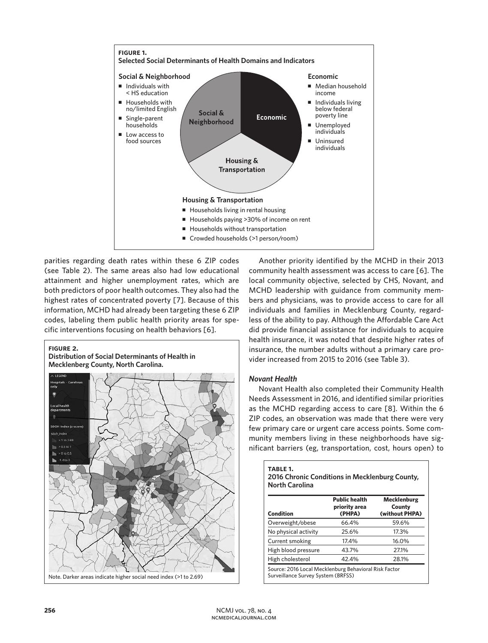

parities regarding death rates within these 6 ZIP codes (see Table 2). The same areas also had low educational attainment and higher unemployment rates, which are both predictors of poor health outcomes. They also had the highest rates of concentrated poverty [7]. Because of this information, MCHD had already been targeting these 6 ZIP codes, labeling them public health priority areas for specific interventions focusing on health behaviors [6].



Another priority identified by the MCHD in their 2013 community health assessment was access to care [6]. The local community objective, selected by CHS, Novant, and MCHD leadership with guidance from community members and physicians, was to provide access to care for all individuals and families in Mecklenburg County, regardless of the ability to pay. Although the Affordable Care Act did provide financial assistance for individuals to acquire health insurance, it was noted that despite higher rates of insurance, the number adults without a primary care provider increased from 2015 to 2016 (see Table 3).

# *Novant Health*

Novant Health also completed their Community Health Needs Assessment in 2016, and identified similar priorities as the MCHD regarding access to care [8]. Within the 6 ZIP codes, an observation was made that there were very few primary care or urgent care access points. Some community members living in these neighborhoods have significant barriers (eg, transportation, cost, hours open) to

| TABLE 1.                                       |  |
|------------------------------------------------|--|
| 2016 Chronic Conditions in Mecklenburg County, |  |
| ∣ North Carolina                               |  |

| <b>Public health</b><br>priority area<br>(PHPA) | Mecklenburg<br>County<br>(without PHPA) |
|-------------------------------------------------|-----------------------------------------|
| 66.4%                                           | 59.6%                                   |
| 25.6%                                           | 17.3%                                   |
| 17.4%                                           | 16.0%                                   |
| 43.7%                                           | 27.1%                                   |
| 42.4%                                           | 28.1%                                   |
|                                                 |                                         |